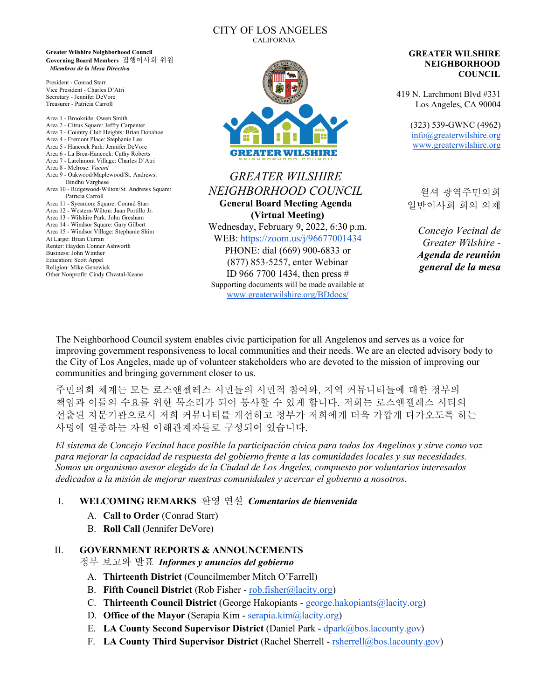#### CITY OF LOS ANGELES CALIFORNIA

**Greater Wilshire Neighborhood Council Governing Board Members** 집행이사회 위원 *Miembros de la Mesa Directiva*

President - Conrad Starr Vice President - Charles D'Atri Secretary - Jennifer DeVore Treasurer - Patricia Carroll

Area 1 - Brookside: Owen Smith Area 2 - Citrus Square: Jeffry Carpenter Area 3 - Country Club Heights: Brian Donahoe Area 4 - Fremont Place: Stephanie Lee Area 5 - Hancock Park: Jennifer DeVore Area 6 - La Brea-Hancock: Cathy Roberts Area 7 - Larchmont Village: Charles D'Atri Area 8 - Melrose: *Vacant* Area 9 - Oakwood/Maplewood/St. Andrews: Bindhu Varghese Area 10 - Ridgewood-Wilton/St. Andrews Square: Patricia Carroll Area 11 - Sycamore Square: Conrad Starr Area 12 - Western-Wilton: Juan Portillo Jr. Area 13 - Wilshire Park: John Gresham Area 14 - Windsor Square: Gary Gilbert Area 15 - Windsor Village: Stephanie Shim At Large: Brian Curran Renter: Hayden Conner Ashworth Business: John Winther Education: Scott Appel Religion: Mike Genewick Other Nonprofit: Cindy Chvatal-Keane



# *GREATER WILSHIRE NEIGHBORHOOD COUNCIL* **General Board Meeting Agenda (Virtual Meeting)**

Wednesday, February 9, 2022, 6:30 p.m. WEB:<https://zoom.us/j/96677001434> PHONE: dial (669) 900-6833 or (877) 853-5257, enter Webinar ID 966 7700 1434, then press # Supporting documents will be made available at [www.greaterwilshire.org/BDdocs/](http://www.greaterwilshire.org/BDdocs/)

**GREATER WILSHIRE NEIGHBORHOOD COUNCIL**

419 N. Larchmont Blvd #331 Los Angeles, CA 90004

> (323) 539-GWNC (4962) [info@greaterwilshire.org](mailto:info@greaterwilshire.org) [www.greaterwilshire.org](http://www.greaterwilshire.org/)

윌셔 광역주민의회 일반이사회 회의 의제

*Concejo Vecinal de Greater Wilshire - Agenda de reunión general de la mesa*

The Neighborhood Council system enables civic participation for all Angelenos and serves as a voice for improving government responsiveness to local communities and their needs. We are an elected advisory body to the City of Los Angeles, made up of volunteer stakeholders who are devoted to the mission of improving our communities and bringing government closer to us.

주민의회 체계는 모든 로스앤젤레스 시민들의 시민적 참여와, 지역 커뮤니티들에 대한 정부의 책임과 이들의 수요를 위한 목소리가 되어 봉사할 수 있게 합니다. 저희는 로스앤젤레스 시티의 선출된 자문기관으로서 저희 커뮤니티를 개선하고 정부가 저희에게 더욱 가깝게 다가오도록 하는 사명에 열중하는 자원 이해관계자들로 구성되어 있습니다.

*El sistema de Concejo Vecinal hace posible la participación cívica para todos los Angelinos y sirve como voz para mejorar la capacidad de respuesta del gobierno frente a las comunidades locales y sus necesidades. Somos un organismo asesor elegido de la Ciudad de Los Ángeles, compuesto por voluntarios interesados dedicados a la misión de mejorar nuestras comunidades y acercar el gobierno a nosotros.*

# I. **WELCOMING REMARKS** 환영 연설*Comentarios de bienvenida*

- A. **Call to Order** (Conrad Starr)
- B. **Roll Call** (Jennifer DeVore)

#### II. **GOVERNMENT REPORTS & ANNOUNCEMENTS**

정부 보고와 발표*Informes y anuncios del gobierno*

- A. **Thirteenth District** (Councilmember Mitch O'Farrell)
- B. **Fifth Council District** (Rob Fisher [rob.fisher@lacity.org\)](mailto:rob.fisher@lacity.org)
- C. **Thirteenth Council District** (George Hakopiants [george.hakopiants@lacity.org\)](mailto:george.hakopiants@lacity.org)
- D. **Office of the Mayor** (Serapia Kim [serapia.kim@lacity.org\)](mailto:serapia.kim@lacity.org)
- E. **LA County Second Supervisor District** (Daniel Park [dpark@bos.lacounty.gov\)](mailto:dpark@bos.lacounty.gov)
- F. **LA County Third Supervisor District** (Rachel Sherrell [rsherrell@bos.lacounty.gov\)](mailto:rsherrell@bos.lacounty.gov)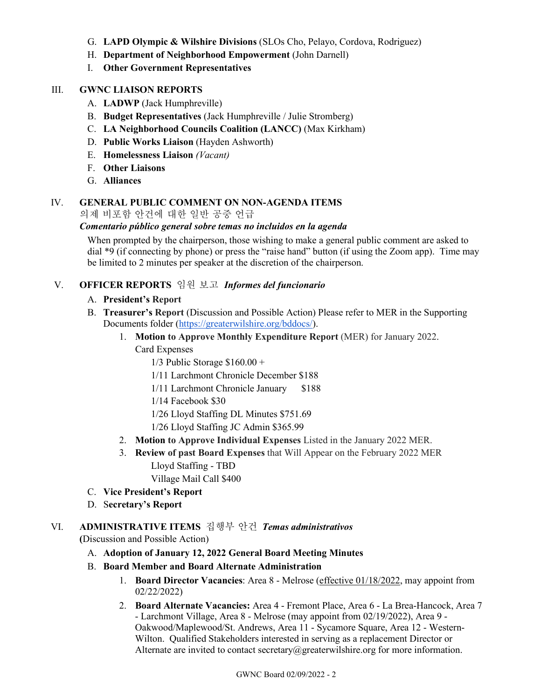- G. **LAPD Olympic & Wilshire Divisions** (SLOs Cho, Pelayo, Cordova, Rodriguez)
- H. **Department of Neighborhood Empowerment** (John Darnell)
- I. **Other Government Representatives**

#### III. **GWNC LIAISON REPORTS**

- A. **LADWP** (Jack Humphreville)
- B. **Budget Representatives** (Jack Humphreville / Julie Stromberg)
- C. **LA Neighborhood Councils Coalition (LANCC)** (Max Kirkham)
- D. **Public Works Liaison** (Hayden Ashworth)
- E. **Homelessness Liaison** *(Vacant)*
- F. **Other Liaisons**
- G. **Alliances**

#### IV. **GENERAL PUBLIC COMMENT ON NON-AGENDA ITEMS**

의제 비포함 안건에 대한 일반 공중 언급

#### *Comentario público general sobre temas no incluidos en la agenda*

When prompted by the chairperson, those wishing to make a general public comment are asked to dial \*9 (if connecting by phone) or press the "raise hand" button (if using the Zoom app). Time may be limited to 2 minutes per speaker at the discretion of the chairperson.

### V. **OFFICER REPORTS** 임원 보고 *Informes del funcionario*

#### A. **President's Report**

- B. **Treasurer's Report** (Discussion and Possible Action) Please refer to MER in the Supporting Documents folder [\(https://greaterwilshire.org/bddocs/\)](https://greaterwilshire.org/bddocs/).
	- 1. **Motion to Approve Monthly Expenditure Report** (MER) for January 2022.
		- Card Expenses
			- $1/3$  Public Storage  $$160.00 +$
			- 1/11 Larchmont Chronicle December \$188
			- 1/11 Larchmont Chronicle January \$188
			- 1/14 Facebook \$30
			- 1/26 Lloyd Staffing DL Minutes \$751.69
			- 1/26 Lloyd Staffing JC Admin \$365.99
	- 2. **Motion to Approve Individual Expenses** Listed in the January 2022 MER.
	- 3. **Review of past Board Expenses** that Will Appear on the February 2022 MER Lloyd Staffing - TBD
		- Village Mail Call \$400
- C. **Vice President's Report**
- D. S**ecretary's Report**

# VI. **ADMINISTRATIVE ITEMS** 집행부 안건*Temas administrativos*

**(**Discussion and Possible Action)

#### A. **Adoption of January 12, 2022 General Board Meeting Minutes**

- B. **Board Member and Board Alternate Administration**
	- 1. **Board Director Vacancies**: Area 8 Melrose (effective 01/18/2022, may appoint from 02/22/2022)
	- 2. **Board Alternate Vacancies:** Area 4 Fremont Place, Area 6 La Brea-Hancock, Area 7 - Larchmont Village, Area 8 - Melrose (may appoint from 02/19/2022), Area 9 - Oakwood/Maplewood/St. Andrews, Area 11 - Sycamore Square, Area 12 - Western-Wilton. Qualified Stakeholders interested in serving as a replacement Director or Alternate are invited to contact secretary@greaterwilshire.org for more information.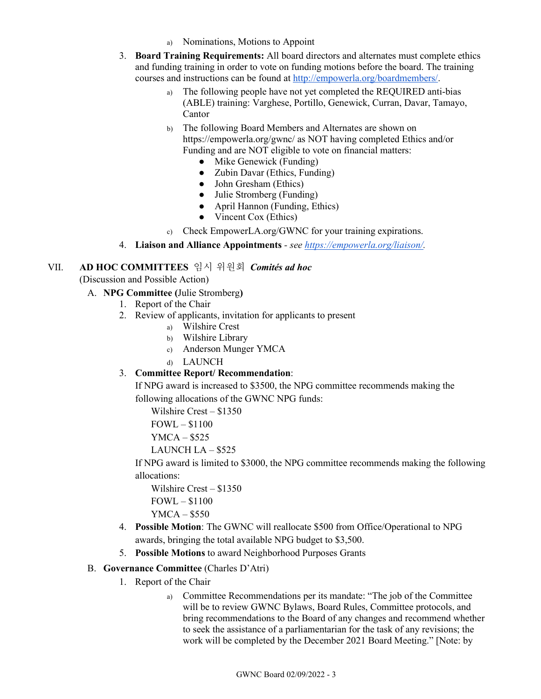- a) Nominations, Motions to Appoint
- 3. **Board Training Requirements:** All board directors and alternates must complete ethics and funding training in order to vote on funding motions before the board. The training courses and instructions can be found at [http://empowerla.org/boardmembers/.](http://empowerla.org/boardmembers/)
	- a) The following people have not yet completed the REQUIRED anti-bias (ABLE) training: Varghese, Portillo, Genewick, Curran, Davar, Tamayo, Cantor
	- b) The following Board Members and Alternates are shown on https://empowerla.org/gwnc/ as NOT having completed Ethics and/or Funding and are NOT eligible to vote on financial matters:
		- $\bullet$  Mike Genewick (Funding)
		- Zubin Davar (Ethics, Funding)
		- John Gresham (Ethics)
		- Julie Stromberg (Funding)
		- April Hannon (Funding, Ethics)
		- Vincent Cox (Ethics)

c) Check EmpowerLA.org/GWNC for your training expirations.

4. **Liaison and Alliance Appointments** *- see [https://empowerla.org/liaison/.](https://empowerla.org/liaison/)*

### VII. **AD HOC COMMITTEES** 임시 위원회*Comités ad hoc*

(Discussion and Possible Action)

#### A. **NPG Committee (**Julie Stromberg**)**

- 1. Report of the Chair
- 2. Review of applicants, invitation for applicants to present
	- a) Wilshire Crest
	- b) Wilshire Library
	- c) Anderson Munger YMCA
	- d) LAUNCH

#### 3. **Committee Report/ Recommendation**:

If NPG award is increased to \$3500, the NPG committee recommends making the following allocations of the GWNC NPG funds:

Wilshire Crest – \$1350

FOWL – \$1100

YMCA – \$525

LAUNCH LA – \$525

If NPG award is limited to \$3000, the NPG committee recommends making the following allocations:

Wilshire Crest – \$1350 FOWL – \$1100 YMCA – \$550

- 4. **Possible Motion**: The GWNC will reallocate \$500 from Office/Operational to NPG awards, bringing the total available NPG budget to \$3,500.
- 5. **Possible Motions** to award Neighborhood Purposes Grants

#### B. **Governance Committee** (Charles D'Atri)

- 1. Report of the Chair
	- a) Committee Recommendations per its mandate: "The job of the Committee will be to review GWNC Bylaws, Board Rules, Committee protocols, and bring recommendations to the Board of any changes and recommend whether to seek the assistance of a parliamentarian for the task of any revisions; the work will be completed by the December 2021 Board Meeting." [Note: by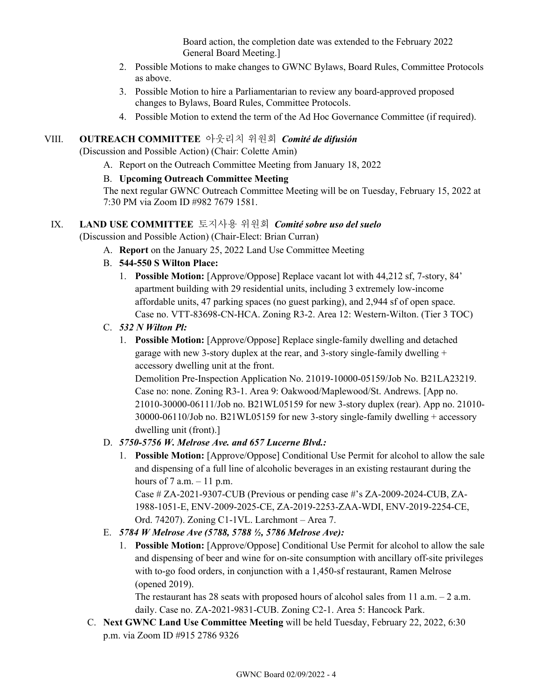Board action, the completion date was extended to the February 2022 General Board Meeting.]

- 2. Possible Motions to make changes to GWNC Bylaws, Board Rules, Committee Protocols as above.
- 3. Possible Motion to hire a Parliamentarian to review any board-approved proposed changes to Bylaws, Board Rules, Committee Protocols.
- 4. Possible Motion to extend the term of the Ad Hoc Governance Committee (if required).

### VIII. **OUTREACH COMMITTEE** 아웃리치 위원회*Comité de difusión*

(Discussion and Possible Action) (Chair: Colette Amin)

A. Report on the Outreach Committee Meeting from January 18, 2022

#### B. **Upcoming Outreach Committee Meeting**

The next regular GWNC Outreach Committee Meeting will be on Tuesday, February 15, 2022 at 7:30 PM via Zoom ID #982 7679 1581.

### IX. **LAND USE COMMITTEE** 토지사용 위원회*Comité sobre uso del suelo*

(Discussion and Possible Action) (Chair-Elect: Brian Curran)

- A. **Report** on the January 25, 2022 Land Use Committee Meeting
- B. **544-550 S Wilton Place:**
	- 1. **Possible Motion:** [Approve/Oppose] Replace vacant lot with 44,212 sf, 7-story, 84' apartment building with 29 residential units, including 3 extremely low-income affordable units, 47 parking spaces (no guest parking), and 2,944 sf of open space. Case no. VTT-83698-CN-HCA. Zoning R3-2. Area 12: Western-Wilton. (Tier 3 TOC)
- C. *532 N Wilton Pl:* 
	- 1. **Possible Motion:** [Approve/Oppose] Replace single-family dwelling and detached garage with new 3-story duplex at the rear, and 3-story single-family dwelling + accessory dwelling unit at the front.

Demolition Pre-Inspection Application No. 21019-10000-05159/Job No. B21LA23219. Case no: none. Zoning R3-1. Area 9: Oakwood/Maplewood/St. Andrews. [App no. 21010-30000-06111/Job no. B21WL05159 for new 3-story duplex (rear). App no. 21010- 30000-06110/Job no. B21WL05159 for new 3-story single-family dwelling + accessory dwelling unit (front).]

#### D. *5750-5756 W. Melrose Ave. and 657 Lucerne Blvd.:*

1. **Possible Motion:** [Approve/Oppose] Conditional Use Permit for alcohol to allow the sale and dispensing of a full line of alcoholic beverages in an existing restaurant during the hours of  $7$  a.m.  $-11$  p.m.

Case # ZA-2021-9307-CUB (Previous or pending case #'s ZA-2009-2024-CUB, ZA-1988-1051-E, ENV-2009-2025-CE, ZA-2019-2253-ZAA-WDI, ENV-2019-2254-CE, Ord. 74207). Zoning C1-1VL. Larchmont – Area 7.

#### E. *5784 W Melrose Ave (5788, 5788 ½, 5786 Melrose Ave):*

1. **Possible Motion:** [Approve/Oppose] Conditional Use Permit for alcohol to allow the sale and dispensing of beer and wine for on-site consumption with ancillary off-site privileges with to-go food orders, in conjunction with a 1,450-sf restaurant, Ramen Melrose (opened 2019).

The restaurant has 28 seats with proposed hours of alcohol sales from 11 a.m.  $-$  2 a.m. daily. Case no. ZA-2021-9831-CUB. Zoning C2-1. Area 5: Hancock Park.

C. **Next GWNC Land Use Committee Meeting** will be held Tuesday, February 22, 2022, 6:30 p.m. via Zoom ID #915 2786 9326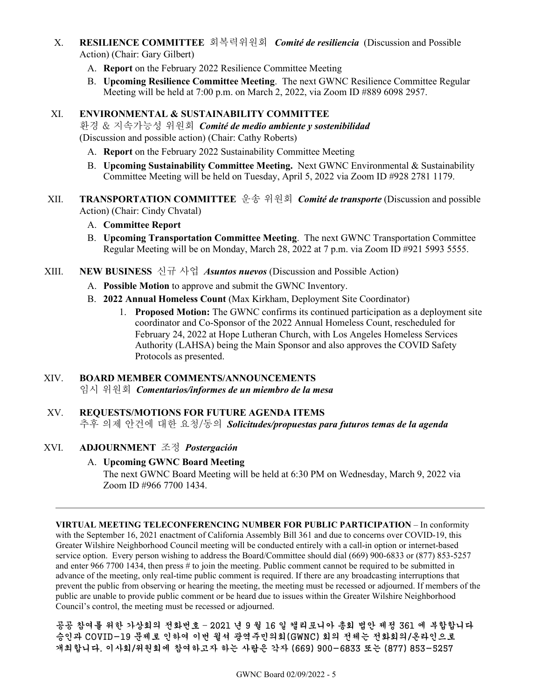- X. **RESILIENCE COMMITTEE** 회복력위원회 *Comité de resiliencia*(Discussion and Possible Action) (Chair: Gary Gilbert)
	- A. **Report** on the February 2022 Resilience Committee Meeting
	- B. **Upcoming Resilience Committee Meeting**. The next GWNC Resilience Committee Regular Meeting will be held at 7:00 p.m. on March 2, 2022, via Zoom ID #889 6098 2957.

#### XI. **ENVIRONMENTAL & SUSTAINABILITY COMMITTEE**

환경 & 지속가능성 위원회*Comité de medio ambiente y sostenibilidad* (Discussion and possible action) (Chair: Cathy Roberts)

- A. **Report** on the February 2022 Sustainability Committee Meeting
- B. **Upcoming Sustainability Committee Meeting.** Next GWNC Environmental & Sustainability Committee Meeting will be held on Tuesday, April 5, 2022 via Zoom ID #928 2781 1179.
- XII. **TRANSPORTATION COMMITTEE** 운송 위원회*Comité de transporte* (Discussion and possible Action) (Chair: Cindy Chvatal)

#### A. **Committee Report**

B. **Upcoming Transportation Committee Meeting**. The next GWNC Transportation Committee Regular Meeting will be on Monday, March 28, 2022 at 7 p.m. via Zoom ID #921 5993 5555.

XIII. **NEW BUSINESS** 신규 사업*Asuntos nuevos* (Discussion and Possible Action)

- A. **Possible Motion** to approve and submit the GWNC Inventory.
- B. **2022 Annual Homeless Count** (Max Kirkham, Deployment Site Coordinator)
	- 1. **Proposed Motion:** The GWNC confirms its continued participation as a deployment site coordinator and Co-Sponsor of the 2022 Annual Homeless Count, rescheduled for February 24, 2022 at Hope Lutheran Church, with Los Angeles Homeless Services Authority (LAHSA) being the Main Sponsor and also approves the COVID Safety Protocols as presented.

#### XIV. **BOARD MEMBER COMMENTS/ANNOUNCEMENTS**

임시 위원회*Comentarios/informes de un miembro de la mesa*

#### XV. **REQUESTS/MOTIONS FOR FUTURE AGENDA ITEMS**

추후 의제 안건에 대한 요청/동의*Solicitudes/propuestas para futuros temas de la agenda*

#### XVI. **ADJOURNMENT** 조정*Postergación*

#### A. **Upcoming GWNC Board Meeting**

The next GWNC Board Meeting will be held at 6:30 PM on Wednesday, March 9, 2022 via Zoom ID #966 7700 1434.

**VIRTUAL MEETING TELECONFERENCING NUMBER FOR PUBLIC PARTICIPATION** – In conformity with the September 16, 2021 enactment of California Assembly Bill 361 and due to concerns over COVID-19, this Greater Wilshire Neighborhood Council meeting will be conducted entirely with a call-in option or internet-based service option. Every person wishing to address the Board/Committee should dial (669) 900-6833 or (877) 853-5257 and enter 966 7700 1434, then press # to join the meeting. Public comment cannot be required to be submitted in advance of the meeting, only real-time public comment is required. If there are any broadcasting interruptions that prevent the public from observing or hearing the meeting, the meeting must be recessed or adjourned. If members of the public are unable to provide public comment or be heard due to issues within the Greater Wilshire Neighborhood Council's control, the meeting must be recessed or adjourned.

공공 참여를 위한 가상회의 전화번호 – 2021 년 9 월 16 일 캘리포니아 총회 법안 제정 361 에 부합합니다 승인과 COVID-19 문제로 인하여 이번 윌셔 광역주민의회(GWNC) 회의 전체는 전화회의/온라인으로 개최합니다. 이사회/위원회에 참여하고자 하는 사람은 각자 (669) 900-6833 또는 (877) 853-5257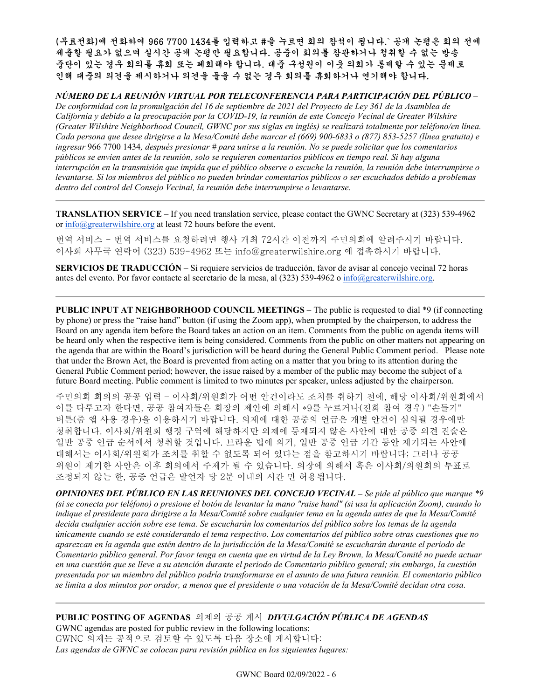(무료전화)에 전화하여 966 7700 1434를 입력하고 #을 누르면 회의 참석이 됩니다.` 공개 논평은 회의 전에 제출할 필요가 없으며 실시간 공개 논평만 필요합니다. 공중이 회의를 참관하거나 청취할 수 없는 방송 중단이 있는 경우 회의를 휴회 또는 폐회해야 합니다. 대중 구성원이 이웃 의회가 통제할 수 있는 문제로 인해 대중의 의견을 제시하거나 의견을 들을 수 없는 경우 회의를 휴회하거나 연기해야 합니다.

*NÚMERO DE LA REUNIÓN VIRTUAL POR TELECONFERENCIA PARA PARTICIPACIÓN DEL PÚBLICO* –

*De conformidad con la promulgación del 16 de septiembre de 2021 del Proyecto de Ley 361 de la Asamblea de California y debido a la preocupación por la COVID-19, la reunión de este Concejo Vecinal de Greater Wilshire (Greater Wilshire Neighborhood Council, GWNC por sus siglas en inglés) se realizará totalmente por teléfono/en línea. Cada persona que desee dirigirse a la Mesa/Comité debe marcar el (669) 900-6833 o (877) 853-5257 (línea gratuita) e ingresar* 966 7700 1434*, después presionar # para unirse a la reunión. No se puede solicitar que los comentarios públicos se envíen antes de la reunión, solo se requieren comentarios públicos en tiempo real. Si hay alguna interrupción en la transmisión que impida que el público observe o escuche la reunión, la reunión debe interrumpirse o levantarse. Si los miembros del público no pueden brindar comentarios públicos o ser escuchados debido a problemas dentro del control del Consejo Vecinal, la reunión debe interrumpirse o levantarse.*

**TRANSLATION SERVICE** – If you need translation service, please contact the GWNC Secretary at (323) 539-4962 or [info@greaterwilshire.org](mailto:info@greaterwilshire.org) at least 72 hours before the event.

번역 서비스 - 번역 서비스를 요청하려면 행사 개최 72시간 이전까지 주민의회에 알려주시기 바랍니다. 이사회 사무국 연락어 (323) 539-4962 또는 [info@greaterwilshire.org](mailto:info@greaterwilshire.org) 에 접촉하시기 바랍니다.

**SERVICIOS DE TRADUCCIÓN** – [Si requiere servicios de traducción, favor de avisar al concejo vecinal 72 horas](http://www.greaterwilshire.org/)  [antes del evento. Por favor contacte al secretario de la mesa, al \(323\) 539-4962 o](http://www.greaterwilshire.org/) [info@greaterwilshire.org](mailto:info@greaterwilshire.org)[.](http://www.greaterwilshire.org/)

**PUBLIC INPUT AT NEIGHBORHOOD COUNCIL MEETINGS – The public is requested to dial \*9 (if connecting** by phone) or press the "raise hand" button (if using the Zoom app), when prompted by the chairperson, to address the Board on any agenda item before the Board takes an action on an item. Comments from the public on agenda items will be heard only when the respective item is being considered. Comments from the public on other matters not appearing on the agenda that are within the Board's jurisdiction will be heard during the General Public Comment period. Please note that under the Brown Act, the Board is prevented from acting on a matter that you bring to its attention during the General Public Comment period; however, the issue raised by a member of the public may become the subject of a future Board meeting. Public comment is limited to two minutes per speaker, unless adjusted by the chairperson.

주민의회 회의의 공공 입력 – 이사회/위원회가 어떤 안건이라도 조치를 취하기 전에, 해당 이사회/위원회에서 이를 다루고자 한다면, 공공 참여자들은 회장의 제안에 의해서 \*9를 누르거나(전화 참여 경우) "손들기" 버튼(줌 앱 사용 경우)을 이용하시기 바랍니다. 의제에 대한 공중의 언급은 개별 안건이 심의될 경우에만 청취합니다. 이사회/위원회 행정 구역에 해당하지만 의제에 등재되지 않은 사안에 대한 공중 의견 진술은 일반 공중 언급 순서에서 청취할 것입니다. 브라운 법에 의거, 일반 공중 언급 기간 동안 제기되는 사안에 대해서는 이사회/위원회가 조치를 취할 수 없도록 되어 있다는 점을 참고하시기 바랍니다; 그러나 공공 위원이 제기한 사안은 이후 회의에서 주제가 될 수 있습니다. 의장에 의해서 혹은 이사회/의원회의 투표로 조정되지 않는 한, 공중 언급은 발언자 당 2분 이내의 시간 만 허용됩니다.

*OPINIONES DEL PÚBLICO EN LAS REUNIONES DEL CONCEJO VECINAL – Se pide al público que marque \*9 (si se conecta por teléfono) o presione el botón de levantar la mano "raise hand" (si usa la aplicación Zoom), cuando lo indique el presidente para dirigirse a la Mesa/Comité sobre cualquier tema en la agenda antes de que la Mesa/Comité decida cualquier acción sobre ese tema. Se escucharán los comentarios del público sobre los temas de la agenda únicamente cuando se esté considerando el tema respectivo. Los comentarios del público sobre otras cuestiones que no aparezcan en la agenda que estén dentro de la jurisdicción de la Mesa/Comité se escucharán durante el periodo de Comentario público general. Por favor tenga en cuenta que en virtud de la Ley Brown, la Mesa/Comité no puede actuar en una cuestión que se lleve a su atención durante el periodo de Comentario público general; sin embargo, la cuestión presentada por un miembro del público podría transformarse en el asunto de una futura reunión. El comentario público se limita a dos minutos por orador, a menos que el presidente o una votación de la Mesa/Comité decidan otra cosa.*

**PUBLIC POSTING OF AGENDAS** 의제의 공공 게시*DIVULGACIÓN PÚBLICA DE AGENDAS*  GWNC agendas are posted for public review in the following locations:

GWNC 의제는 공적으로 검토할 수 있도록 다음 장소에 게시합니다: *Las agendas de GWNC se colocan para revisión pública en los siguientes lugares:*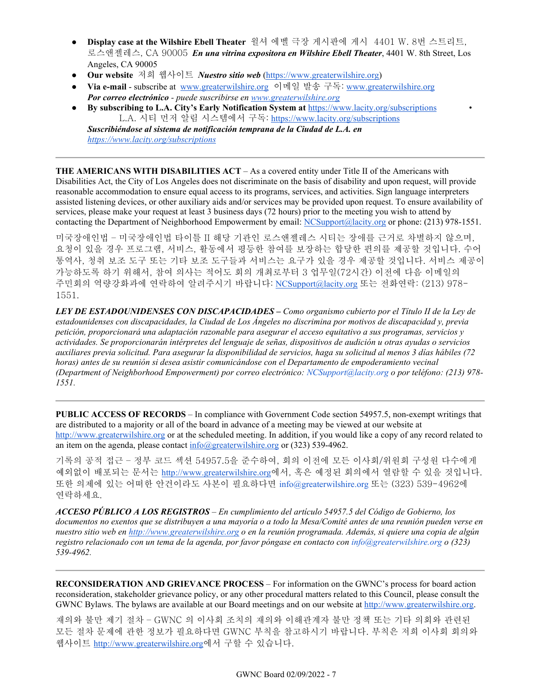- **Display case at the Wilshire Ebell Theater** 윌셔 에벨 극장 게시판에 게시 4401 W. 8번 스트리트, 로스앤젤레스, CA 90005 *En una vitrina expositora en Wilshire Ebell Theater*, 4401 W. 8th Street, Los Angeles, CA 90005
- **Our website** 저희 웹사이트 *Nuestro sitio web* [\(https://www.greaterwilshire.org\)](https://www.greaterwilshire.org/)
- **Via e-mail** subscribe at [www.greaterwilshire.org](http://www.greaterwilshire.org/) 이메일 발송 구독: [www.greaterwilshire.org](http://www.greaterwilshire.org/) *Por correo electrónico - puede suscribirse en [www.greaterwilshire.org](http://www.greaterwilshire.org/)*
- **By subscribing to L.A. City's Early Notification System at** <https://www.lacity.org/subscriptions> L.A. 시티 먼저 알림 시스템에서 구독: <https://www.lacity.org/subscriptions>

*Suscribiéndose al sistema de notificación temprana de la Ciudad de L.A. en <https://www.lacity.org/subscriptions>*

**THE AMERICANS WITH DISABILITIES ACT** – As a covered entity under Title II of the Americans with Disabilities Act, the City of Los Angeles does not discriminate on the basis of disability and upon request, will provide reasonable accommodation to ensure equal access to its programs, services, and activities. Sign language interpreters assisted listening devices, or other auxiliary aids and/or services may be provided upon request. To ensure availability of services, please make your request at least 3 business days (72 hours) prior to the meeting you wish to attend by contacting the Department of Neighborhood Empowerment by email: [NCSupport@lacity.org](mailto:NCSupport@lacity.org) or phone: (213) 978-1551.

미국장애인법 – 미국장애인법 타이틀 II 해당 기관인 로스앤젤레스 시티는 장애를 근거로 차별하지 않으며, 요청이 있을 경우 프로그램, 서비스, 활동에서 평등한 참여를 보장하는 합당한 편의를 제공할 것입니다. 수어 통역사, 청취 보조 도구 또는 기타 보조 도구들과 서비스는 요구가 있을 경우 제공할 것입니다. 서비스 제공이 가능하도록 하기 위해서, 참여 의사는 적어도 회의 개최로부터 3 업무일(72시간) 이전에 다음 이메일의 주민회의 역량강화과에 연락하여 알려주시기 바랍니다: [NCSupport@lacity.org](mailto:NCSupport@lacity.org) 또는 전화연락: (213) 978- 1551.

*LEY DE ESTADOUNIDENSES CON DISCAPACIDADES – Como organismo cubierto por el Título II de la Ley de estadounidenses con discapacidades, la Ciudad de Los Ángeles no discrimina por motivos de discapacidad y, previa petición, proporcionará una adaptación razonable para asegurar el acceso equitativo a sus programas, servicios y actividades. Se proporcionarán intérpretes del lenguaje de señas, dispositivos de audición u otras ayudas o servicios auxiliares previa solicitud. Para asegurar la disponibilidad de servicios, haga su solicitud al menos 3 días hábiles (72 horas) antes de su reunión si desea asistir comunicándose con el Departamento de empoderamiento vecinal (Department of Neighborhood Empowerment) por correo electrónico: NCSupport@lacity.org o por teléfono: (213) 978- 1551.* 

**PUBLIC ACCESS OF RECORDS** – In compliance with Government Code section 54957.5, non-exempt writings that are distributed to a majority or all of the board in advance of a meeting may be viewed at our website at [http://www.greaterwilshire.org](http://www.greaterwilshire.org/) or at the scheduled meeting. In addition, if you would like a copy of any record related to an item on the agenda, please contac[t info@greaterwilshire.org](mailto:info@greaterwilshire.org) or (323) 539-4962.

기록의 공적 접근 – 정부 코드 섹션 54957.5을 준수하여, 회의 이전에 모든 이사회/위원회 구성원 다수에게 예외없이 배포되는 문서[는](http://www.greaterwilshire.org/) [http://www.greaterwilshire.org](http://www.greaterwilshire.org/)에서, 혹은 예정된 회의에서 열람할 수 있을 것입니다. 또한 의제에 있는 어떠한 안건이라도 사본이 필요하다면 info@greaterwilshire.org 또는 (323) 539-4962에 연락하세요.

*ACCESO PÚBLICO A LOS REGISTROS – En cumplimiento del artículo 54957.5 del Código de Gobierno, los documentos no exentos que se distribuyen a una mayoría o a todo la Mesa/Comité antes de una reunión pueden verse en nuestro sitio web en [http://www.greaterwilshire.org](http://www.greaterwilshire.org/) o en la reunión programada. Además, si quiere una copia de algún registro relacionado con un tema de la agenda, por favor póngase en contacto con info@greaterwilshire.org o (323) 539-4962.* 

**RECONSIDERATION AND GRIEVANCE PROCESS** – For information on the GWNC's process for board action reconsideration, stakeholder grievance policy, or any other procedural matters related to this Council, please consult the GWNC Bylaws. The bylaws are available at our Board meetings and on our website at [http://www.greaterwilshire.org.](http://www.greaterwilshire.org/)

재의와 불만 제기 절차 – GWNC 의 이사회 조치의 재의와 이해관계자 불만 정책 또는 기타 의회와 관련된 모든 절차 문제에 관한 정보가 필요하다면 GWNC 부칙을 참고하시기 바랍니다. 부칙은 저희 이사회 회의와 웹사이트 [http://www.greaterwilshire.org](http://www.greaterwilshire.org/)에서 구할 수 있습니다.